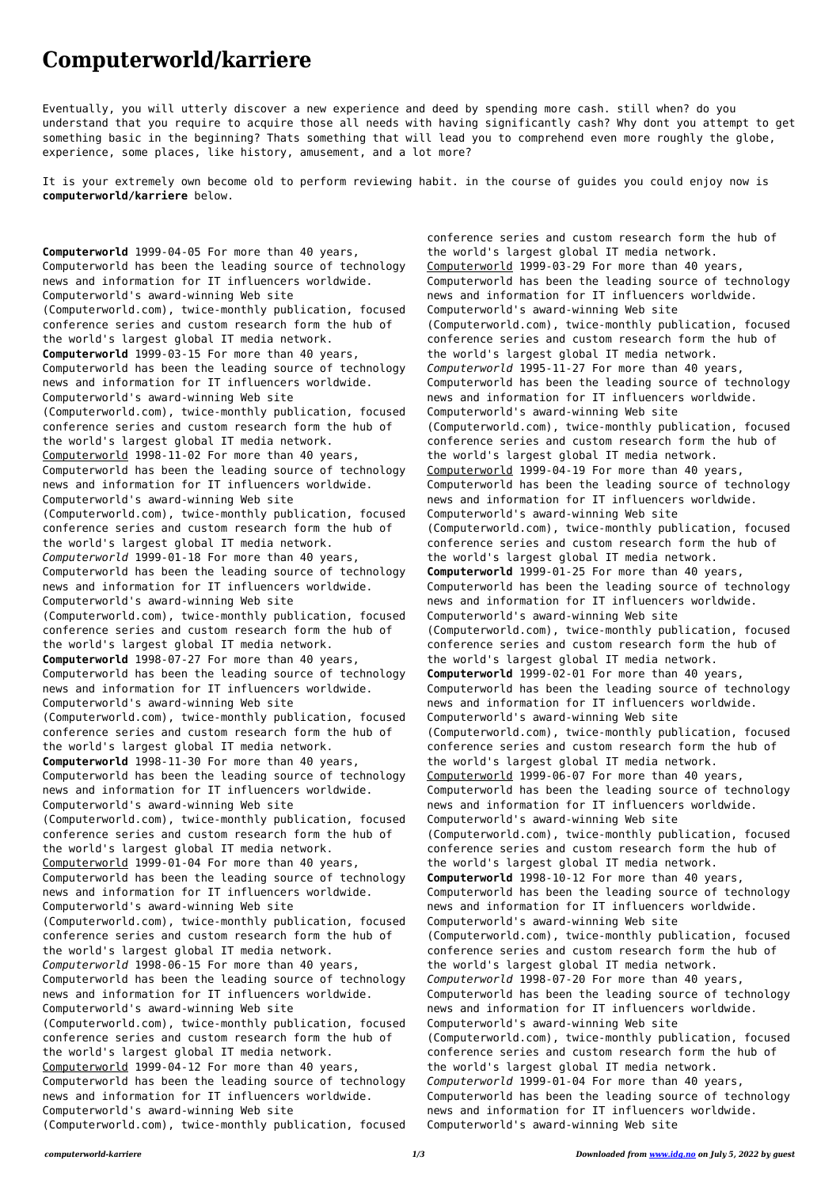## **Computerworld/karriere**

Eventually, you will utterly discover a new experience and deed by spending more cash. still when? do you understand that you require to acquire those all needs with having significantly cash? Why dont you attempt to get something basic in the beginning? Thats something that will lead you to comprehend even more roughly the globe, experience, some places, like history, amusement, and a lot more?

It is your extremely own become old to perform reviewing habit. in the course of guides you could enjoy now is **computerworld/karriere** below.

**Computerworld** 1999-04-05 For more than 40 years, Computerworld has been the leading source of technology news and information for IT influencers worldwide. Computerworld's award-winning Web site (Computerworld.com), twice-monthly publication, focused conference series and custom research form the hub of the world's largest global IT media network. **Computerworld** 1999-03-15 For more than 40 years, Computerworld has been the leading source of technology news and information for IT influencers worldwide. Computerworld's award-winning Web site (Computerworld.com), twice-monthly publication, focused conference series and custom research form the hub of the world's largest global IT media network. Computerworld 1998-11-02 For more than 40 years, Computerworld has been the leading source of technology news and information for IT influencers worldwide. Computerworld's award-winning Web site (Computerworld.com), twice-monthly publication, focused conference series and custom research form the hub of the world's largest global IT media network. *Computerworld* 1999-01-18 For more than 40 years, Computerworld has been the leading source of technology news and information for IT influencers worldwide. Computerworld's award-winning Web site (Computerworld.com), twice-monthly publication, focused conference series and custom research form the hub of the world's largest global IT media network. **Computerworld** 1998-07-27 For more than 40 years, Computerworld has been the leading source of technology news and information for IT influencers worldwide. Computerworld's award-winning Web site (Computerworld.com), twice-monthly publication, focused conference series and custom research form the hub of the world's largest global IT media network. **Computerworld** 1998-11-30 For more than 40 years, Computerworld has been the leading source of technology news and information for IT influencers worldwide. Computerworld's award-winning Web site (Computerworld.com), twice-monthly publication, focused conference series and custom research form the hub of the world's largest global IT media network. Computerworld 1999-01-04 For more than 40 years, Computerworld has been the leading source of technology news and information for IT influencers worldwide. Computerworld's award-winning Web site (Computerworld.com), twice-monthly publication, focused conference series and custom research form the hub of the world's largest global IT media network. *Computerworld* 1998-06-15 For more than 40 years, Computerworld has been the leading source of technology news and information for IT influencers worldwide. Computerworld's award-winning Web site (Computerworld.com), twice-monthly publication, focused conference series and custom research form the hub of the world's largest global IT media network. Computerworld 1999-04-12 For more than 40 years, Computerworld has been the leading source of technology news and information for IT influencers worldwide. Computerworld's award-winning Web site (Computerworld.com), twice-monthly publication, focused

conference series and custom research form the hub of the world's largest global IT media network. Computerworld 1999-03-29 For more than 40 years, Computerworld has been the leading source of technology news and information for IT influencers worldwide. Computerworld's award-winning Web site (Computerworld.com), twice-monthly publication, focused conference series and custom research form the hub of the world's largest global IT media network. *Computerworld* 1995-11-27 For more than 40 years, Computerworld has been the leading source of technology news and information for IT influencers worldwide. Computerworld's award-winning Web site (Computerworld.com), twice-monthly publication, focused conference series and custom research form the hub of the world's largest global IT media network. Computerworld 1999-04-19 For more than 40 years, Computerworld has been the leading source of technology news and information for IT influencers worldwide. Computerworld's award-winning Web site (Computerworld.com), twice-monthly publication, focused conference series and custom research form the hub of the world's largest global IT media network. **Computerworld** 1999-01-25 For more than 40 years, Computerworld has been the leading source of technology news and information for IT influencers worldwide. Computerworld's award-winning Web site (Computerworld.com), twice-monthly publication, focused conference series and custom research form the hub of the world's largest global IT media network. **Computerworld** 1999-02-01 For more than 40 years, Computerworld has been the leading source of technology news and information for IT influencers worldwide. Computerworld's award-winning Web site (Computerworld.com), twice-monthly publication, focused conference series and custom research form the hub of the world's largest global IT media network. Computerworld 1999-06-07 For more than 40 years, Computerworld has been the leading source of technology news and information for IT influencers worldwide. Computerworld's award-winning Web site (Computerworld.com), twice-monthly publication, focused conference series and custom research form the hub of the world's largest global IT media network. **Computerworld** 1998-10-12 For more than 40 years, Computerworld has been the leading source of technology news and information for IT influencers worldwide. Computerworld's award-winning Web site (Computerworld.com), twice-monthly publication, focused conference series and custom research form the hub of the world's largest global IT media network. *Computerworld* 1998-07-20 For more than 40 years, Computerworld has been the leading source of technology news and information for IT influencers worldwide. Computerworld's award-winning Web site (Computerworld.com), twice-monthly publication, focused conference series and custom research form the hub of the world's largest global IT media network. *Computerworld* 1999-01-04 For more than 40 years, Computerworld has been the leading source of technology news and information for IT influencers worldwide. Computerworld's award-winning Web site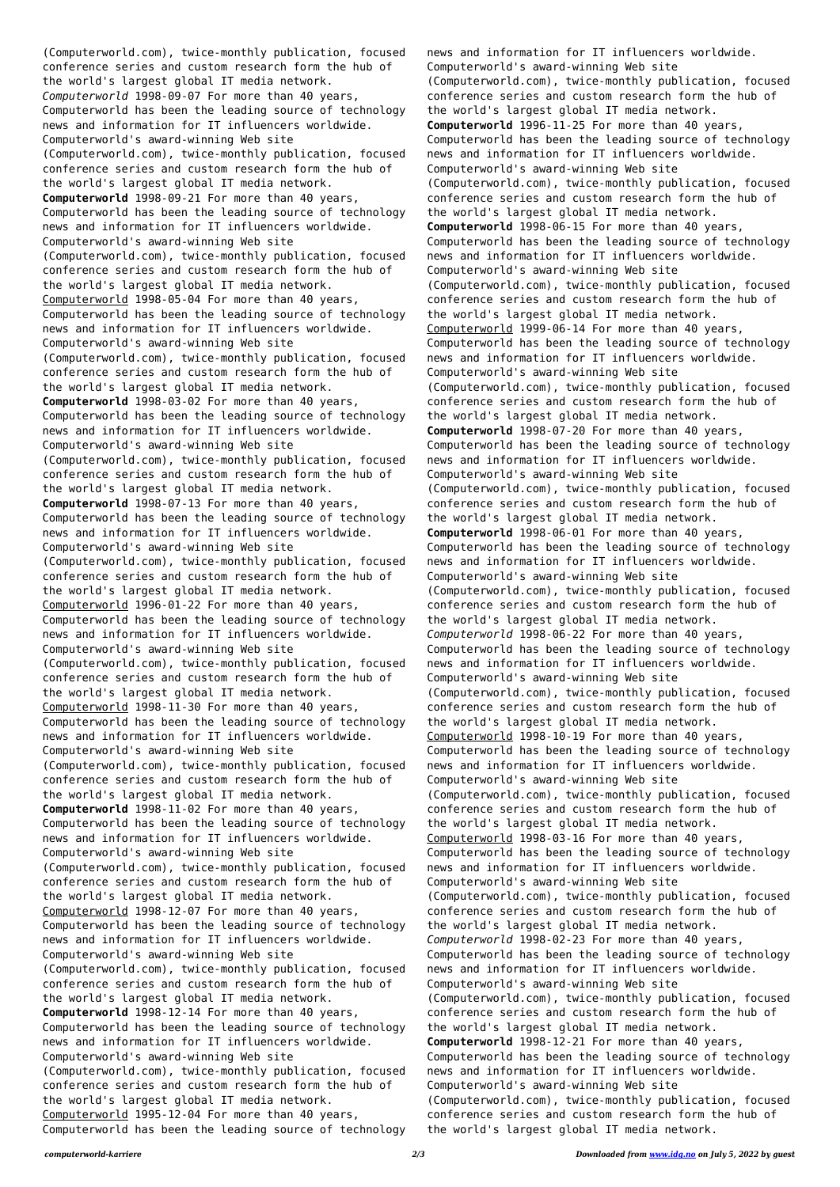(Computerworld.com), twice-monthly publication, focused conference series and custom research form the hub of the world's largest global IT media network. *Computerworld* 1998-09-07 For more than 40 years, Computerworld has been the leading source of technology news and information for IT influencers worldwide. Computerworld's award-winning Web site (Computerworld.com), twice-monthly publication, focused conference series and custom research form the hub of the world's largest global IT media network. **Computerworld** 1998-09-21 For more than 40 years, Computerworld has been the leading source of technology news and information for IT influencers worldwide. Computerworld's award-winning Web site (Computerworld.com), twice-monthly publication, focused conference series and custom research form the hub of the world's largest global IT media network. Computerworld 1998-05-04 For more than 40 years, Computerworld has been the leading source of technology news and information for IT influencers worldwide. Computerworld's award-winning Web site (Computerworld.com), twice-monthly publication, focused conference series and custom research form the hub of the world's largest global IT media network. **Computerworld** 1998-03-02 For more than 40 years, Computerworld has been the leading source of technology news and information for IT influencers worldwide. Computerworld's award-winning Web site (Computerworld.com), twice-monthly publication, focused conference series and custom research form the hub of the world's largest global IT media network. **Computerworld** 1998-07-13 For more than 40 years, Computerworld has been the leading source of technology news and information for IT influencers worldwide. Computerworld's award-winning Web site (Computerworld.com), twice-monthly publication, focused conference series and custom research form the hub of the world's largest global IT media network. Computerworld 1996-01-22 For more than 40 years, Computerworld has been the leading source of technology news and information for IT influencers worldwide. Computerworld's award-winning Web site (Computerworld.com), twice-monthly publication, focused conference series and custom research form the hub of the world's largest global IT media network. Computerworld 1998-11-30 For more than 40 years, Computerworld has been the leading source of technology news and information for IT influencers worldwide. Computerworld's award-winning Web site (Computerworld.com), twice-monthly publication, focused conference series and custom research form the hub of the world's largest global IT media network. **Computerworld** 1998-11-02 For more than 40 years, Computerworld has been the leading source of technology news and information for IT influencers worldwide. Computerworld's award-winning Web site (Computerworld.com), twice-monthly publication, focused conference series and custom research form the hub of the world's largest global IT media network. Computerworld 1998-12-07 For more than 40 years, Computerworld has been the leading source of technology news and information for IT influencers worldwide. Computerworld's award-winning Web site (Computerworld.com), twice-monthly publication, focused conference series and custom research form the hub of the world's largest global IT media network. **Computerworld** 1998-12-14 For more than 40 years, Computerworld has been the leading source of technology news and information for IT influencers worldwide. Computerworld's award-winning Web site (Computerworld.com), twice-monthly publication, focused conference series and custom research form the hub of the world's largest global IT media network. Computerworld 1995-12-04 For more than 40 years, Computerworld has been the leading source of technology

news and information for IT influencers worldwide. Computerworld's award-winning Web site (Computerworld.com), twice-monthly publication, focused conference series and custom research form the hub of the world's largest global IT media network. **Computerworld** 1996-11-25 For more than 40 years, Computerworld has been the leading source of technology news and information for IT influencers worldwide. Computerworld's award-winning Web site (Computerworld.com), twice-monthly publication, focused conference series and custom research form the hub of the world's largest global IT media network. **Computerworld** 1998-06-15 For more than 40 years, Computerworld has been the leading source of technology news and information for IT influencers worldwide. Computerworld's award-winning Web site (Computerworld.com), twice-monthly publication, focused conference series and custom research form the hub of the world's largest global IT media network. Computerworld 1999-06-14 For more than 40 years, Computerworld has been the leading source of technology news and information for IT influencers worldwide. Computerworld's award-winning Web site (Computerworld.com), twice-monthly publication, focused conference series and custom research form the hub of the world's largest global IT media network. **Computerworld** 1998-07-20 For more than 40 years, Computerworld has been the leading source of technology news and information for IT influencers worldwide. Computerworld's award-winning Web site (Computerworld.com), twice-monthly publication, focused conference series and custom research form the hub of the world's largest global IT media network. **Computerworld** 1998-06-01 For more than 40 years, Computerworld has been the leading source of technology news and information for IT influencers worldwide. Computerworld's award-winning Web site (Computerworld.com), twice-monthly publication, focused conference series and custom research form the hub of the world's largest global IT media network. *Computerworld* 1998-06-22 For more than 40 years, Computerworld has been the leading source of technology news and information for IT influencers worldwide. Computerworld's award-winning Web site (Computerworld.com), twice-monthly publication, focused conference series and custom research form the hub of the world's largest global IT media network. Computerworld 1998-10-19 For more than 40 years, Computerworld has been the leading source of technology news and information for IT influencers worldwide. Computerworld's award-winning Web site (Computerworld.com), twice-monthly publication, focused conference series and custom research form the hub of the world's largest global IT media network. Computerworld 1998-03-16 For more than 40 years, Computerworld has been the leading source of technology news and information for IT influencers worldwide. Computerworld's award-winning Web site (Computerworld.com), twice-monthly publication, focused conference series and custom research form the hub of the world's largest global IT media network. *Computerworld* 1998-02-23 For more than 40 years, Computerworld has been the leading source of technology news and information for IT influencers worldwide. Computerworld's award-winning Web site (Computerworld.com), twice-monthly publication, focused conference series and custom research form the hub of the world's largest global IT media network. **Computerworld** 1998-12-21 For more than 40 years, Computerworld has been the leading source of technology news and information for IT influencers worldwide. Computerworld's award-winning Web site (Computerworld.com), twice-monthly publication, focused conference series and custom research form the hub of the world's largest global IT media network.